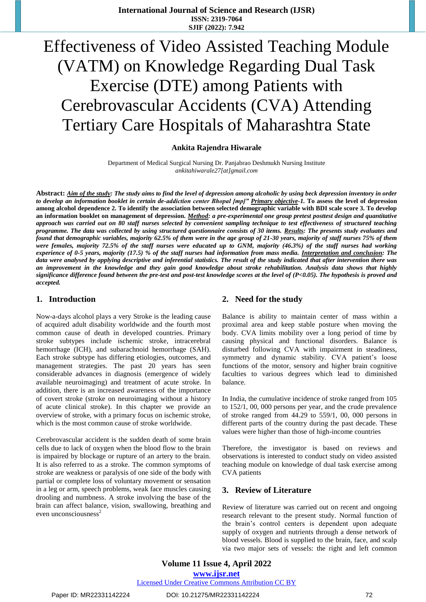# Effectiveness of Video Assisted Teaching Module (VATM) on Knowledge Regarding Dual Task Exercise (DTE) among Patients with Cerebrovascular Accidents (CVA) Attending Tertiary Care Hospitals of Maharashtra State

## **Ankita Rajendra Hiwarale**

Department of Medical Surgical Nursing Dr. Panjabrao Deshmukh Nursing Institute *ankitahiwarale27[at]gmail.com*

**Abstract:** *Aim of the study: The study aims to find the level of depression among alcoholic by using beck depression inventory in order to develop an information booklet in certain de-addiction center Bhopal [mp]" Primary objective-1.* **To assess the level of depression among alcohol dependence 2. To identify the association between selected demographic variable with BDI scale score 3. To develop an information booklet on management of depression.** *Method: a pre-experimental one group pretest posttest design and quantitative approach was carried out on 80 staff nurses selected by convenient sampling technique to test effectiveness of structured teaching programme. The data was collected by using structured questionnaire consists of 30 items. Results: The presents study evaluates and found that demographic variables, majority 62.5% of them were in the age group of 21-30 years, majority of staff nurses 75% of them were females, majority 72.5% of the staff nurses were educated up to GNM, majority (46.3%) of the staff nurses had working experience of 0-5 years, majority (17.5) % of the staff nurses had information from mass media. Interpretation and conclusion: The data were analysed by applying descriptive and inferential statistics. The result of the study indicated that after intervention there was an improvement in the knowledge and they gain good knowledge about stroke rehabilitation. Analysis data shows that highly significance difference found between the pre-test and post-test knowledge scores at the level of (P<0.05). The hypothesis is proved and accepted.*

## **1. Introduction**

Now-a-days alcohol plays a very Stroke is the leading cause of acquired adult disability worldwide and the fourth most common cause of death in developed countries. Primary stroke subtypes include ischemic stroke, intracerebral hemorrhage (ICH), and subarachnoid hemorrhage (SAH). Each stroke subtype has differing etiologies, outcomes, and management strategies. The past 20 years has seen considerable advances in diagnosis (emergence of widely available neuroimaging) and treatment of acute stroke. In addition, there is an increased awareness of the importance of covert stroke (stroke on neuroimaging without a history of acute clinical stroke). In this chapter we provide an overview of stroke, with a primary focus on ischemic stroke, which is the most common cause of stroke worldwide.

Cerebrovascular accident is the sudden death of some brain cells due to lack of oxygen when the blood flow to the brain is impaired by blockage or rupture of an artery to the brain. It is also referred to as a stroke. The common symptoms of stroke are weakness or paralysis of one side of the body with partial or complete loss of voluntary movement or sensation in a leg or arm, speech problems, weak face muscles causing drooling and numbness. A stroke involving the base of the brain can affect balance, vision, swallowing, breathing and even unconsciousness<sup>2</sup>

## **2. Need for the study**

Balance is ability to maintain center of mass within a proximal area and keep stable posture when moving the body. CVA limits mobility over a long period of time by causing physical and functional disorders. Balance is disturbed following CVA with impairment in steadiness, symmetry and dynamic stability. CVA patient's loose functions of the motor, sensory and higher brain cognitive faculties to various degrees which lead to diminished balance.

In India, the cumulative incidence of stroke ranged from 105 to 152/1, 00, 000 persons per year, and the crude prevalence of stroke ranged from 44.29 to 559/1, 00, 000 persons in different parts of the country during the past decade. These values were higher than those of high-income countries

Therefore, the investigator is based on reviews and observations is interested to conduct study on video assisted teaching module on knowledge of dual task exercise among CVA patients

## **3. Review of Literature**

Review of literature was carried out on recent and ongoing research relevant to the present study. Normal function of the brain's control centers is dependent upon adequate supply of oxygen and nutrients through a dense network of blood vessels. Blood is supplied to the brain, face, and scalp via two major sets of vessels: the right and left common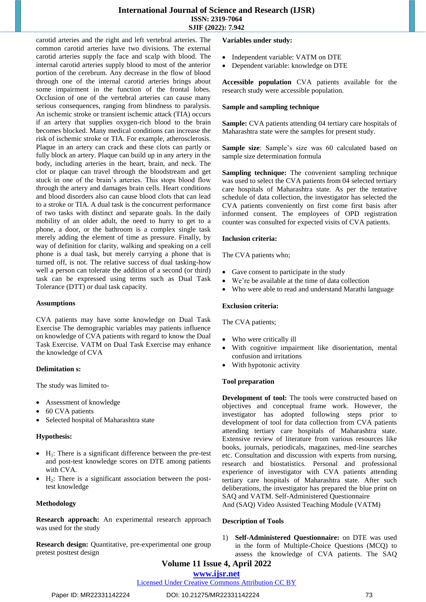# **International Journal of Science and Research (IJSR) ISSN: 2319-7064 SJIF (2022): 7.942**

carotid arteries and the right and left vertebral arteries. The common carotid arteries have two divisions. The external carotid arteries supply the face and scalp with blood. The internal carotid arteries supply blood to most of the anterior portion of the cerebrum. Any decrease in the flow of blood through one of the internal carotid arteries brings about some impairment in the function of the frontal lobes. Occlusion of one of the vertebral arteries can cause many serious consequences, ranging from blindness to paralysis. An ischemic stroke or transient ischemic attack (TIA) occurs if an artery that supplies oxygen-rich blood to the brain becomes blocked. Many medical conditions can increase the risk of ischemic stroke or TIA. For example, [atherosclerosis.](https://www.nhlbi.nih.gov/health/health-topics/topics/atherosclerosis) Plaque in an artery can crack and these clots can partly or fully block an artery. Plaque can build up in any artery in the body, including arteries in the heart, brain, and neck. The clot or plaque can travel through the bloodstream and get stuck in one of the brain's arteries. This stops blood flow through the artery and damages brain cells. Heart conditions and blood disorders also can cause blood clots that can lead to a stroke or TIA. A dual task is the concurrent performance of two tasks with distinct and separate goals. In the daily mobility of an older adult, the need to hurry to get to a phone, a door, or the bathroom is a complex single task merely adding the element of time as pressure. Finally, by way of definition for clarity, walking and speaking on a cell phone is a dual task, but merely carrying a phone that is turned off, is not. The relative success of dual tasking-how well a person can tolerate the addition of a second (or third) task can be expressed using terms such as Dual Task Tolerance (DTT) or dual task capacity.

#### **Assumptions**

CVA patients may have some knowledge on Dual Task Exercise The demographic variables may patients influence on knowledge of CVA patients with regard to know the Dual Task Exercise. VATM on Dual Task Exercise may enhance the knowledge of CVA

#### **Delimitation s:**

The study was limited to-

- Assessment of knowledge
- 60 CVA patients
- Selected hospital of Maharashtra state

#### **Hypothesis:**

- $\bullet$  H<sub>1</sub>: There is a significant difference between the pre-test and post-test knowledge scores on DTE among patients with CVA.
- $H_2$ : There is a significant association between the posttest knowledge

#### **Methodology**

**Research approach:** An experimental research approach was used for the study

**Research design:** Quantitative, pre-experimental one group pretest posttest design

#### **Variables under study:**

- Independent variable: VATM on DTE
- Dependent variable: knowledge on DTE

**Accessible population** CVA patients available for the research study were accessible population.

#### **Sample and sampling technique**

Sample: CVA patients attending 04 tertiary care hospitals of Maharashtra state were the samples for present study.

**Sample size**: Sample's size was 60 calculated based on sample size determination formula

**Sampling technique:** The convenient sampling technique was used to select the CVA patients from 04 selected tertiary care hospitals of Maharashtra state. As per the tentative schedule of data collection, the investigator has selected the CVA patients conveniently on first come first basis after informed consent. The employees of OPD registration counter was consulted for expected visits of CVA patients.

#### **Inclusion criteria:**

The CVA patients who;

- Gave consent to participate in the study
- We're be available at the time of data collection
- Who were able to read and understand Marathi language

#### **Exclusion criteria:**

The CVA patients;

- Who were critically ill
- With cognitive impairment like disorientation, mental confusion and irritations
- With hypotonic activity

#### **Tool preparation**

**Development of tool:** The tools were constructed based on objectives and conceptual frame work. However, the investigator has adopted following steps prior to development of tool for data collection from CVA patients attending tertiary care hospitals of Maharashtra state. Extensive review of literature from various resources like books, journals, periodicals, magazines, med-line searches etc. Consultation and discussion with experts from nursing, research and biostatistics. Personal and professional experience of investigator with CVA patients attending tertiary care hospitals of Maharashtra state. After such deliberations, the investigator has prepared the blue print on SAQ and VATM. Self-Administered Questionnaire And (SAQ) Video Assisted Teaching Module (VATM)

#### **Description of Tools**

1) **Self-Administered Questionnaire:** on DTE was used in the form of Multiple-Choice Questions (MCQ) to assess the knowledge of CVA patients. The SAQ

# **Volume 11 Issue 4, April 2022**

# **www.ijsr.net**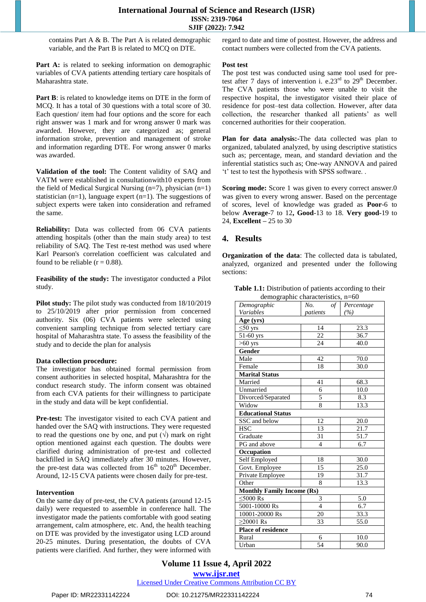contains Part A & B. The Part A is related demographic variable, and the Part B is related to MCQ on DTE.

Part A: is related to seeking information on demographic variables of CVA patients attending tertiary care hospitals of Maharashtra state.

Part B: is related to knowledge items on DTE in the form of MCQ. It has a total of 30 questions with a total score of 30. Each question/ item had four options and the score for each right answer was 1 mark and for wrong answer 0 mark was awarded. However, they are categorized as; general information stroke, prevention and management of stroke and information regarding DTE. For wrong answer 0 marks was awarded.

**Validation of the tool:** The Content validity of SAQ and VATM were established in consultationwith10 experts from the field of Medical Surgical Nursing (n=7), physician (n=1) statistician (n=1), language expert (n=1). The suggestions of subject experts were taken into consideration and reframed the same.

**Reliability:** Data was collected from 06 CVA patients attending hospitals (other than the main study area) to test reliability of SAQ. The Test re-test method was used where Karl Pearson's correlation coefficient was calculated and found to be reliable ( $r = 0.88$ ).

**Feasibility of the study:** The investigator conducted a Pilot study.

**Pilot study:** The pilot study was conducted from  $18/10/2019$ to 25/10/2019 after prior permission from concerned authority. Six (06) CVA patients were selected using convenient sampling technique from selected tertiary care hospital of Maharashtra state. To assess the feasibility of the study and to decide the plan for analysis

#### **Data collection procedure:**

The investigator has obtained formal permission from consent authorities in selected hospital, Maharashtra for the conduct research study. The inform consent was obtained from each CVA patients for their willingness to participate in the study and data will be kept confidential.

Pre-test: The investigator visited to each CVA patient and handed over the SAQ with instructions. They were requested to read the questions one by one, and put  $(\sqrt{})$  mark on right option mentioned against each question. The doubts were clarified during administration of pre-test and collected backfilled in SAQ immediately after 30 minutes. However, the pre-test data was collected from  $16<sup>th</sup>$  to  $20<sup>th</sup>$  December. Around, 12-15 CVA patients were chosen daily for pre-test.

#### **Intervention**

On the same day of pre-test, the CVA patients (around 12-15 daily) were requested to assemble in conference hall. The investigator made the patients comfortable with good seating arrangement, calm atmosphere, etc. And, the health teaching on DTE was provided by the investigator using LCD around 20-25 minutes. During presentation, the doubts of CVA patients were clarified. And further, they were informed with regard to date and time of posttest. However, the address and contact numbers were collected from the CVA patients.

#### **Post test**

The post test was conducted using same tool used for pretest after 7 days of intervention i. e.23 $^{rd}$  to 29<sup>th</sup> December. The CVA patients those who were unable to visit the respective hospital, the investigator visited their place of residence for post–test data collection. However, after data collection, the researcher thanked all patients' as well concerned authorities for their cooperation.

**Plan for data analysis:-**The data collected was plan to organized, tabulated analyzed, by using descriptive statistics such as; percentage, mean, and standard deviation and the inferential statistics such as; One-way ANNOVA and paired 't' test to test the hypothesis with SPSS software. .

**Scoring mode:** Score 1 was given to every correct answer.0 was given to every wrong answer. Based on the percentage of scores, level of knowledge was graded as **Poor**-6 to below **Average**-7 to 12**, Good**-13 to 18. **Very good-**19 to 24, **Excellent –** 25 to 30

# **4. Results**

**Organization of the data**: The collected data is tabulated, analyzed, organized and presented under the following sections:

| Demographic                       | No.<br>of                | Percentage        |
|-----------------------------------|--------------------------|-------------------|
| Variables                         | patients                 | (%)               |
| Age (yrs)                         |                          |                   |
| $\leq 50$ yrs                     | 14                       | $\overline{23.3}$ |
| $51-60$ yrs                       | 22                       | 36.7              |
| $>60$ yrs                         | 24                       | 40.0              |
| Gender                            |                          |                   |
| Male                              | 42                       | 70.0              |
| Female                            | 18                       | 30.0              |
| Marital Status                    |                          |                   |
| Married                           | 41                       | 68.3              |
| Unmarried                         | 6                        | 10.0              |
| Divorced/Separated                | 5                        | 8.3               |
| Widow                             | 8                        | 13.3              |
| <b>Educational Status</b>         |                          |                   |
| SSC and below                     | 12                       | 20.0              |
| HSC                               | 13                       | 21.7              |
| Graduate                          | 31                       | 51.7              |
| PG and above                      | $\overline{\mathcal{L}}$ | 6.7               |
| Occupation                        |                          |                   |
| Self Employed                     | 18                       | 30.0              |
| Govt. Employee                    | 15                       | 25.0              |
| Private Employee                  | 19                       | 31.7              |
| Other                             | 8                        | 13.3              |
| <b>Monthly Family Income (Rs)</b> |                          |                   |
| $<$ 5000 Rs                       | 3                        | 5.0               |
| $5001 - 10000$ Rs                 | $\overline{\mathcal{A}}$ | 6.7               |
| 10001-20000 Rs                    | 20                       | 33.3              |
| $>20001$ Rs                       | 33                       | 55.0              |
| Place of residence                |                          |                   |
| Rural                             | 6                        | 10.0              |
| Urban                             | 54                       | 90.0              |
|                                   |                          |                   |

**Table 1.1:** Distribution of patients according to their demographic characteristics, n=60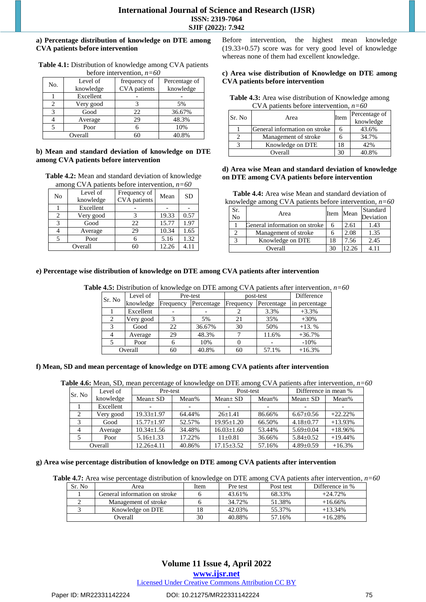#### **a) Percentage distribution of knowledge on DTE among CVA patients before intervention**

| $\alpha$ and $\alpha$ interval vention. |           |              |               |  |  |
|-----------------------------------------|-----------|--------------|---------------|--|--|
| No.                                     | Level of  | frequency of | Percentage of |  |  |
|                                         | knowledge | CVA patients | knowledge     |  |  |
|                                         | Excellent |              |               |  |  |
|                                         | Very good |              | 5%            |  |  |
| 2                                       | Good      | 22           | 36.67%        |  |  |
|                                         | Average   | 29           | 48.3%         |  |  |
|                                         | Poor      |              | 10%           |  |  |
|                                         | Overall   | 60           | 40.8%         |  |  |

**Table 4.1:** Distribution of knowledge among CVA patients before intervention, *n=60*

#### **b) Mean and standard deviation of knowledge on DTE among CVA patients before intervention**

**Table 4.2:** Mean and standard deviation of knowledge among CVA patients before intervention, *n=60*

| No | Level of<br>knowledge | Frequency of<br><b>CVA</b> patients | Mean  | <b>SD</b> |
|----|-----------------------|-------------------------------------|-------|-----------|
|    | Excellent             |                                     |       |           |
| 2  | Very good             |                                     | 19.33 | 0.57      |
| 3  | Good                  | 22                                  | 15.77 | 1.97      |
|    | Average               | 29                                  | 10.34 | 1.65      |
| 5  | Poor                  |                                     | 5.16  | 1.32      |
|    | Overall               |                                     | 12.26 | 4.11      |

Before intervention, the highest mean knowledge (19.33+0.57) score was for very good level of knowledge whereas none of them had excellent knowledge.

#### **c) Area wise distribution of Knowledge on DTE among CVA patients before intervention**

Table 4.3: Area wise distribution of Knowledge among CVA patients before intervention, *n=60*

| Sr. No | Area                          | Item | Percentage of<br>knowledge |
|--------|-------------------------------|------|----------------------------|
|        | General information on stroke |      | 43.6%                      |
|        | Management of stroke          |      | 34.7%                      |
|        | Knowledge on DTE              | 18   | 42%                        |
|        | Overall                       | 30   | 40.8%                      |

#### **d) Area wise Mean and standard deviation of knowledge on DTE among CVA patients before intervention**

**Table 4.4:** Area wise Mean and standard deviation of knowledge among CVA patients before intervention, *n=60*

| Sr.<br>No | Area                          | Item | Mean | Standard<br>Deviation |
|-----------|-------------------------------|------|------|-----------------------|
|           | General information on stroke | 6    | 2.61 | 1.43                  |
|           | Management of stroke          |      | 2.08 | 1.35                  |
|           | Knowledge on DTE              | 18   | 7.56 | 2.45                  |
| Overall   |                               |      |      |                       |

#### **e) Percentage wise distribution of knowledge on DTE among CVA patients after intervention**

**Table 4.5:** Distribution of knowledge on DTE among CVA patients after intervention, *n=60*

| Level of<br>Sr. No |           | Pre-test  |            | post-test | Difference |               |
|--------------------|-----------|-----------|------------|-----------|------------|---------------|
|                    | knowledge | Frequency | Percentage | Frequency | Percentage | in percentage |
|                    | Excellent |           |            |           | 3.3%       | $+3.3%$       |
|                    | Very good |           | 5%         | 21        | 35%        | $+30%$        |
|                    | Good      | 22        | 36.67%     | 30        | 50%        | $+13.$ %      |
|                    | Average   | 29        | 48.3%      |           | 11.6%      | $+36.7%$      |
|                    | Poor      |           | 10%        |           |            | $-10%$        |
|                    | Overall   | 60        | 40.8%      | 60        | 57.1%      | $+16.3%$      |

#### **f) Mean, SD and mean percentage of knowledge on DTE among CVA patients after intervention**

**Table 4.6:** Mean, SD, mean percentage of knowledge on DTE among CVA patients after intervention, *n=60*

| Level of<br>Sr. No |           |                  | Pre-test |                  | Post-test |                 | Difference in mean % |  |
|--------------------|-----------|------------------|----------|------------------|-----------|-----------------|----------------------|--|
|                    | knowledge | $Mean \pm SD$    | Mean%    | $Mean + SD$      | Mean%     | $Mean \pm SD$   | Mean%                |  |
|                    | Excellent |                  |          |                  |           |                 |                      |  |
| 2                  | Very good | $19.33 + 1.97$   | 64.44%   | $26+1.41$        | 86.66%    | $6.67 \pm 0.56$ | $+22.22%$            |  |
|                    | Good      | $15.77 \pm 1.97$ | 52.57%   | $19.95 + 1.20$   | 66.50%    | $4.18 + 0.77$   | $+13.93%$            |  |
| $\overline{4}$     | Average   | $10.34 + 1.56$   | 34.48%   | $16.03 \pm 1.60$ | 53.44%    | $5.69 + 0.04$   | $+18.96%$            |  |
|                    | Poor      | $5.16 \pm 1.33$  | 17.22%   | $11+0.81$        | 36.66%    | $5.84 \pm 0.52$ | $+19.44%$            |  |
|                    | Overall   | $12.26 \pm 4.11$ | 40.86%   | $17.15 \pm 3.52$ | 57.16%    | $4.89 + 0.59$   | $+16.3%$             |  |

#### **g) Area wise percentage distribution of knowledge on DTE among CVA patients after intervention**

|  |  |  |  | <b>Table 4.7:</b> Area wise percentage distribution of knowledge on DTE among CVA patients after intervention, $n=60$ |  |
|--|--|--|--|-----------------------------------------------------------------------------------------------------------------------|--|
|--|--|--|--|-----------------------------------------------------------------------------------------------------------------------|--|

| Sr. No | Area                          | Item | Pre test | Post test | Difference in % |
|--------|-------------------------------|------|----------|-----------|-----------------|
|        | General information on stroke |      | 43.61%   | 68.33%    | $+24.72%$       |
|        | Management of stroke          |      | 34.72%   | 51.38%    | $+16.66\%$      |
|        | Knowledge on DTE              |      | 42.03%   | 55.37%    | $+13.34\%$      |
|        | Overall                       | 30   | 40.88%   | 57.16%    | $+16.28%$       |

# **Volume 11 Issue 4, April 2022 www.ijsr.net** Licensed Under Creative Commons Attribution CC BY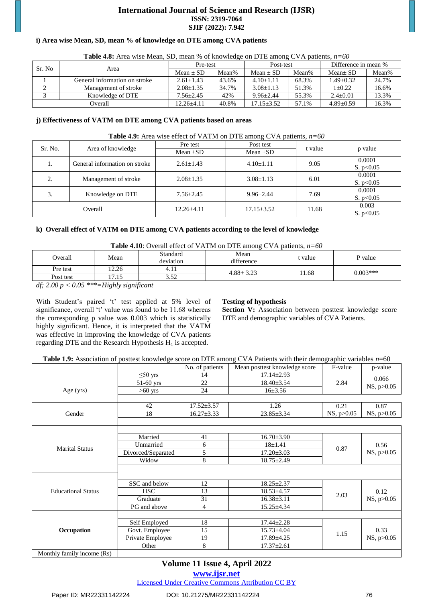# **International Journal of Science and Research (IJSR) ISSN: 2319-7064 SJIF (2022): 7.942**

## **i) Area wise Mean, SD, mean % of knowledge on DTE among CVA patients**

| <b>THEIR THAN THE THERE IS A THEFT TO SET AND THE COLLECTED</b> IN $\mathbf{C}$ is a partition if $\mathbf{C}$ |                               |                |       |                |       |                      |       |
|----------------------------------------------------------------------------------------------------------------|-------------------------------|----------------|-------|----------------|-------|----------------------|-------|
| Sr. No                                                                                                         |                               | Pre-test       |       | Post-test      |       | Difference in mean % |       |
|                                                                                                                | Area                          | $Mean + SD$    | Mean% | $Mean + SD$    | Mean% | $Mean \pm SD$        | Mean% |
|                                                                                                                | General information on stroke | $2.61 + 1.43$  | 43.6% | $4.10 + 1.11$  | 68.3% | $1.49 + 0.32$        | 24.7% |
|                                                                                                                | Management of stroke          | $2.08 + 1.35$  | 34.7% | $3.08 + 1.13$  | 51.3% | $1+0.22$             | 16.6% |
|                                                                                                                | Knowledge of DTE              | $7.56 + 2.45$  | 42%   | $9.96 + 2.44$  | 55.3% | $2.4+0.01$           | 13.3% |
|                                                                                                                | Overall                       | $12.26 + 4.11$ | 40.8% | $17.15 + 3.52$ | 57.1% | $4.89 + 0.59$        | 16.3% |

**Table 4.8:** Area wise Mean, SD, mean % of knowledge on DTE among CVA patients, *n=60*

#### **j) Effectiveness of VATM on DTE among CVA patients based on areas**

#### **Table 4.9:** Area wise effect of VATM on DTE among CVA patients, *n=60*

| Sr. No. | Area of knowledge             | Pre test        | Post test       | t value | p value     |
|---------|-------------------------------|-----------------|-----------------|---------|-------------|
|         |                               | Mean $\pm SD$   | Mean $\pm SD$   |         |             |
|         | General information on stroke | $2.61 + 1.43$   | $4.10 \pm 1.11$ | 9.05    | 0.0001      |
| 1.      |                               |                 |                 |         | S. $p<0.05$ |
| 2.      | Management of stroke          | $2.08 \pm 1.35$ | $3.08 \pm 1.13$ | 6.01    | 0.0001      |
|         |                               |                 |                 |         | S. $p<0.05$ |
| 3.      | Knowledge on DTE              | $7.56 + 2.45$   | $9.96 + 2.44$   | 7.69    | 0.0001      |
|         |                               |                 |                 |         | S. $p<0.05$ |
| Overall |                               | $12.26 + 4.11$  | $17.15 + 3.52$  | 11.68   | 0.003       |
|         |                               |                 |                 |         | S. $p<0.05$ |

#### **k) Overall effect of VATM on DTE among CVA patients according to the level of knowledge**

#### **Table 4.10**: Overall effect of VATM on DTE among CVA patients, *n=60*

| <b>THOIC</b> $\mathbf{H}$ . Or clude choot of $\mathbf{H}$ is the choose annoing $\mathbf{C}$ is puttomber to be                                                                                                                                                                                                                                                                                                                                                         |       |                       |                    |         |            |  |  |
|--------------------------------------------------------------------------------------------------------------------------------------------------------------------------------------------------------------------------------------------------------------------------------------------------------------------------------------------------------------------------------------------------------------------------------------------------------------------------|-------|-----------------------|--------------------|---------|------------|--|--|
| Overall                                                                                                                                                                                                                                                                                                                                                                                                                                                                  | Mean  | Standard<br>deviation | Mean<br>difference | t value | P value    |  |  |
| Pre test                                                                                                                                                                                                                                                                                                                                                                                                                                                                 | 12.26 | 4.11                  | $4.88 + 3.23$      | 1.68    | $0.003***$ |  |  |
| Post test                                                                                                                                                                                                                                                                                                                                                                                                                                                                | 17.15 | 5.52                  |                    |         |            |  |  |
| $\mathbf{z}$ $\mathbf{z}$ $\mathbf{z}$<br>$\alpha$ $\alpha$ = $\alpha$ , $\alpha$ , $\alpha$ , $\alpha$ , $\alpha$ , $\alpha$ , $\alpha$ , $\alpha$ , $\alpha$ , $\alpha$ , $\alpha$ , $\alpha$ , $\alpha$ , $\alpha$ , $\alpha$ , $\alpha$ , $\alpha$ , $\alpha$ , $\alpha$ , $\alpha$ , $\alpha$ , $\alpha$ , $\alpha$ , $\alpha$ , $\alpha$ , $\alpha$ , $\alpha$ , $\alpha$ , $\alpha$ , $\alpha$ , $\alpha$ , $\alpha$ , $\alpha$ , $\alpha$ , $\alpha$ ,<br>$\sim$ |       |                       |                    |         |            |  |  |

*df; 2.00 p < 0.05 \*\*\*=Highly significant*

With Student's paired 't' test applied at 5% level of significance, overall 't' value was found to be 11.68 whereas the corresponding p value was 0.003 which is statistically highly significant. Hence, it is interpreted that the VATM was effective in improving the knowledge of CVA patients regarding DTE and the Research Hypothesis  $H_1$  is accepted.

#### **Testing of hypothesis**

Section V: Association between posttest knowledge score DTE and demographic variables of CVA Patients.

**Table 1.9:** Association of posttest knowledge score on DTE among CVA Patients with their demographic variables *n*=60

|                            |                    | No. of patients  | Mean posttest knowledge score | F-value    | p-value              |
|----------------------------|--------------------|------------------|-------------------------------|------------|----------------------|
| Age (yrs)                  | $\leq 50$ yrs      | 14               | $17.14 \pm 2.93$              | 2.84       | 0.066<br>NS, p>0.05  |
|                            | $51-60$ yrs        | 22               | $18.40 \pm 3.54$              |            |                      |
|                            | $>60$ yrs          | 24               | $16 \pm 3.56$                 |            |                      |
|                            |                    |                  |                               |            |                      |
|                            | 42                 | $17.52 \pm 3.57$ | 1.26                          | 0.21       | 0.87                 |
| Gender                     | 18                 | $16.27 \pm 3.33$ | $23.85 \pm 3.34$              | NS, p>0.05 | NS, p>0.05           |
|                            |                    |                  |                               |            |                      |
|                            |                    |                  |                               |            |                      |
| <b>Marital Status</b>      | Married            | 41               | $16.70 \pm 3.90$              | 0.87       | 0.56<br>NS, p > 0.05 |
|                            | Unmarried          | 6                | $18 \pm 1.41$                 |            |                      |
|                            | Divorced/Separated | 5                | $17.20 \pm 3.03$              |            |                      |
|                            | Widow              | 8                | $18.75 \pm 2.49$              |            |                      |
|                            |                    |                  |                               |            |                      |
|                            |                    |                  |                               |            |                      |
| <b>Educational Status</b>  | SSC and below      | 12               | $18.25 \pm 2.37$              | 2.03       | 0.12<br>NS, p > 0.05 |
|                            | <b>HSC</b>         | 13               | $18.53 \pm 4.57$              |            |                      |
|                            | Graduate           | 31               | $16.38 \pm 3.11$              |            |                      |
|                            | PG and above       | $\overline{4}$   | $15.25 \pm 4.34$              |            |                      |
|                            |                    |                  |                               |            |                      |
| Occupation                 | Self Employed      | 18               | $17.44 \pm 2.28$              | 1.15       | 0.33<br>NS, p > 0.05 |
|                            | Govt. Employee     | 15               | $15.73 \pm 4.04$              |            |                      |
|                            | Private Employee   | 19               | $17.89 \pm 4.25$              |            |                      |
|                            | Other              | 8                | $17.37 \pm 2.61$              |            |                      |
| Monthly family income (Rs) |                    |                  |                               |            |                      |

# **Volume 11 Issue 4, April 2022**

**www.ijsr.net**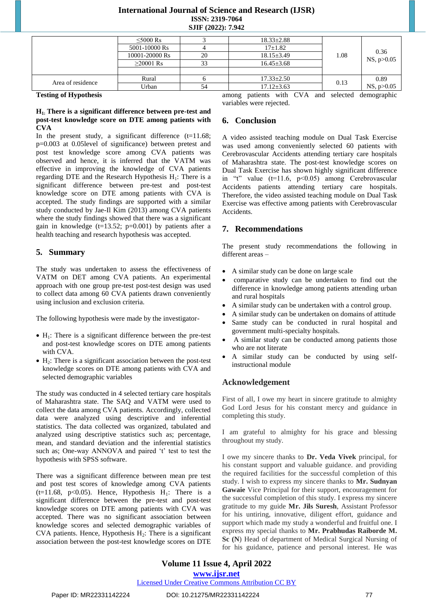# **International Journal of Science and Research (IJSR) ISSN: 2319-7064 SJIF (2022): 7.942**

|                   | $\leq 5000$ Rs |    | $18.33 \pm 2.88$ | 1.08 | 0.36<br>NS, p > 0.05 |
|-------------------|----------------|----|------------------|------|----------------------|
|                   | 5001-10000 Rs  |    | $17+1.82$        |      |                      |
|                   | 10001-20000 Rs | 20 | $18.15 \pm 3.49$ |      |                      |
|                   | $>20001$ Rs    | 33 | $16.45 \pm 3.68$ |      |                      |
|                   |                |    |                  |      |                      |
| Area of residence | Rural          |    | $17.33 \pm 2.50$ | 0.13 | 0.89                 |
|                   | Urban          | 54 | $17.12 \pm 3.63$ |      | NS, p > 0.05         |

**Testing of Hypothesis**

## **H1: There is a significant difference between pre-test and post-test knowledge score on DTE among patients with CVA**

In the present study, a significant difference  $(t=11.68)$ ; p=0.003 at 0.05level of significance) between pretest and post test knowledge score among CVA patients was observed and hence, it is inferred that the VATM was effective in improving the knowledge of CVA patients regarding DTE and the Research Hypothesis  $H_1$ : There is a significant difference between pre-test and post-test knowledge score on DTE among patients with CVA is accepted. The study findings are supported with a similar study conducted by Jae-Il Kim (2013) among CVA patients where the study findings showed that there was a significant gain in knowledge ( $t=13.52$ ;  $p=0.001$ ) by patients after a health teaching and research hypothesis was accepted.

# **5. Summary**

The study was undertaken to assess the effectiveness of VATM on DET among CVA patients. An experimental approach with one group pre-test post-test design was used to collect data among 60 CVA patients drawn conveniently using inclusion and exclusion criteria.

The following hypothesis were made by the investigator-

- $\bullet$  H<sub>1</sub>: There is a significant difference between the pre-test and post-test knowledge scores on DTE among patients with CVA.
- $\bullet$  H<sub>2</sub>: There is a significant association between the post-test knowledge scores on DTE among patients with CVA and selected demographic variables

The study was conducted in 4 selected tertiary care hospitals of Maharashtra state. The SAQ and VATM were used to collect the data among CVA patients. Accordingly, collected data were analyzed using descriptive and inferential statistics. The data collected was organized, tabulated and analyzed using descriptive statistics such as; percentage, mean, and standard deviation and the inferential statistics such as; One-way ANNOVA and paired 't' test to test the hypothesis with SPSS software.

There was a significant difference between mean pre test and post test scores of knowledge among CVA patients (t=11.68, p<0.05). Hence, Hypothesis  $H_1$ : There is a significant difference between the pre-test and post-test knowledge scores on DTE among patients with CVA was accepted. There was no significant association between knowledge scores and selected demographic variables of CVA patients. Hence, Hypothesis  $H_2$ : There is a significant association between the post-test knowledge scores on DTE

among patients with CVA and selected demographic variables were rejected.

# **6. Conclusion**

A video assisted teaching module on Dual Task Exercise was used among conveniently selected 60 patients with Cerebrovascular Accidents attending tertiary care hospitals of Maharashtra state. The post-test knowledge scores on Dual Task Exercise has shown highly significant difference in "t" value (t=11.6, p<0.05) among Cerebrovascular Accidents patients attending tertiary care hospitals. Therefore, the video assisted teaching module on Dual Task Exercise was effective among patients with Cerebrovascular Accidents.

# **7. Recommendations**

The present study recommendations the following in different areas –

- A similar study can be done on large scale
- comparative study can be undertaken to find out the difference in knowledge among patients attending urban and rural hospitals
- A similar study can be undertaken with a control group.
- A similar study can be undertaken on domains of attitude
- Same study can be conducted in rural hospital and government multi-specialty hospitals.
- A similar study can be conducted among patients those who are not literate
- A similar study can be conducted by using selfinstructional module

# **Acknowledgement**

First of all, I owe my heart in sincere gratitude to almighty God Lord Jesus for his constant mercy and guidance in completing this study.

I am grateful to almighty for his grace and blessing throughout my study.

I owe my sincere thanks to **Dr. Veda Vivek** principal, for his constant support and valuable guidance. and providing the required facilities for the successful completion of this study. I wish to express my sincere thanks to **Mr. Sudnyan Gawaie** Vice Principal for their support, encouragement for the successful completion of this study. I express my sincere gratitude to my guide **Mr. Jils Suresh**, Assistant Professor for his untiring, innovative, diligent effort, guidance and support which made my study a wonderful and fruitful one. I express my special thanks to **Mr. Prabhudas Raiborde M. Sc (N**) Head of department of Medical Surgical Nursing of for his guidance, patience and personal interest. He was